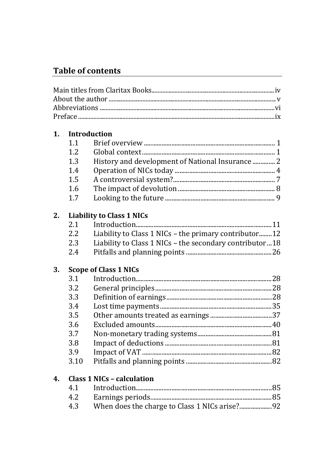# **Table of contents**

| 1. | <b>Introduction</b> |                                                           |
|----|---------------------|-----------------------------------------------------------|
|    | 1.1                 |                                                           |
|    | 1.2                 |                                                           |
|    | 1.3                 | History and development of National Insurance  2          |
|    | 1.4                 |                                                           |
|    | 1.5                 |                                                           |
|    | 1.6                 |                                                           |
|    | 1.7                 |                                                           |
| 2. |                     | <b>Liability to Class 1 NICs</b>                          |
|    | 2.1                 |                                                           |
|    | 2.2                 | Liability to Class 1 NICs - the primary contributor12     |
|    | 2.3                 | Liability to Class 1 NICs - the secondary contributor  18 |
|    | 2.4                 |                                                           |
| 3. |                     | <b>Scope of Class 1 NICs</b>                              |
|    | 3.1                 |                                                           |
|    | 3.2                 |                                                           |
|    | 3.3                 |                                                           |
|    | 3.4                 |                                                           |
|    | 3.5                 |                                                           |
|    | 3.6                 |                                                           |
|    | 3.7                 |                                                           |
|    | 3.8                 |                                                           |
|    | 3.9                 |                                                           |
|    | 3.10                |                                                           |
| 4. |                     | <b>Class 1 NICs - calculation</b>                         |
|    | 4.1                 |                                                           |
|    | 4.2                 |                                                           |
|    | 4.3                 |                                                           |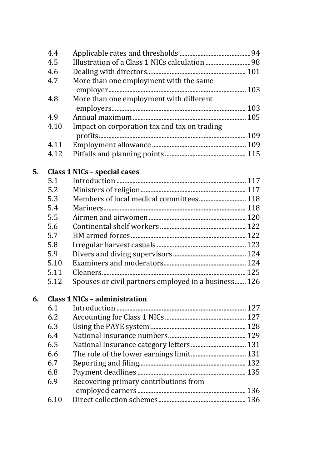|    | 4.4  |                                                      |  |
|----|------|------------------------------------------------------|--|
|    | 4.5  |                                                      |  |
|    | 4.6  |                                                      |  |
|    | 4.7  | More than one employment with the same               |  |
|    |      |                                                      |  |
|    | 4.8  | More than one employment with different              |  |
|    |      |                                                      |  |
|    | 4.9  |                                                      |  |
|    | 4.10 | Impact on corporation tax and tax on trading         |  |
|    |      |                                                      |  |
|    | 4.11 |                                                      |  |
|    | 4.12 |                                                      |  |
| 5. |      | Class 1 NICs - special cases                         |  |
|    | 5.1  |                                                      |  |
|    | 5.2  |                                                      |  |
|    | 5.3  | Members of local medical committees 118              |  |
|    | 5.4  |                                                      |  |
|    | 5.5  |                                                      |  |
|    | 5.6  |                                                      |  |
|    | 5.7  |                                                      |  |
|    | 5.8  |                                                      |  |
|    | 5.9  |                                                      |  |
|    | 5.10 |                                                      |  |
|    | 5.11 |                                                      |  |
|    | 5.12 | Spouses or civil partners employed in a business 126 |  |
| 6. |      | <b>Class 1 NICs - administration</b>                 |  |
|    | 6.1  |                                                      |  |
|    | 6.2  |                                                      |  |
|    | 6.3  |                                                      |  |
|    | 6.4  |                                                      |  |
|    | 6.5  |                                                      |  |
|    | 6.6  |                                                      |  |
|    | 6.7  |                                                      |  |
|    | 6.8  |                                                      |  |
|    | 6.9  | Recovering primary contributions from                |  |
|    |      |                                                      |  |
|    | 6.10 |                                                      |  |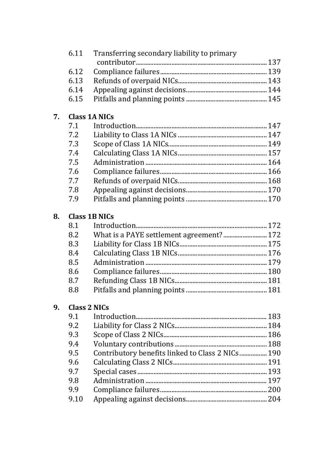|    | 6.11                | Transferring secondary liability to primary      |  |
|----|---------------------|--------------------------------------------------|--|
|    |                     |                                                  |  |
|    | 6.12                |                                                  |  |
|    | 6.13                |                                                  |  |
|    | 6.14                |                                                  |  |
|    | 6.15                |                                                  |  |
| 7. |                     | <b>Class 1A NICs</b>                             |  |
|    | 7.1                 |                                                  |  |
|    | 7.2                 |                                                  |  |
|    | 7.3                 |                                                  |  |
|    | 7.4                 |                                                  |  |
|    | 7.5                 |                                                  |  |
|    | 7.6                 |                                                  |  |
|    | 7.7                 |                                                  |  |
|    | 7.8                 |                                                  |  |
|    | 7.9                 |                                                  |  |
| 8. |                     | <b>Class 1B NICs</b>                             |  |
|    | 8.1                 |                                                  |  |
|    | 8.2                 | What is a PAYE settlement agreement? 172         |  |
|    | 8.3                 |                                                  |  |
|    | 8.4                 |                                                  |  |
|    | 8.5                 |                                                  |  |
|    | 8.6                 |                                                  |  |
|    | 8.7                 |                                                  |  |
|    | 8.8                 |                                                  |  |
| 9. | <b>Class 2 NICs</b> |                                                  |  |
|    | 9.1                 |                                                  |  |
|    | 9.2                 |                                                  |  |
|    | 9.3                 |                                                  |  |
|    | 9.4                 |                                                  |  |
|    | 9.5                 | Contributory benefits linked to Class 2 NICs 190 |  |
|    | 9.6                 |                                                  |  |
|    | 9.7                 |                                                  |  |
|    | 9.8                 |                                                  |  |
|    | 9.9                 |                                                  |  |
|    | 9.10                |                                                  |  |
|    |                     |                                                  |  |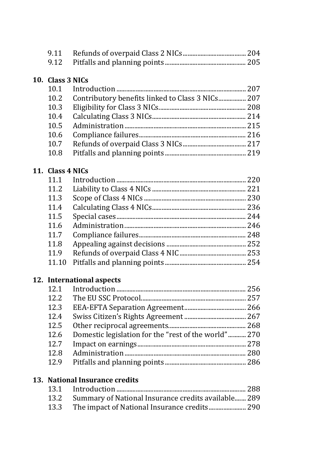### **10. Class 3 NICs**

| 10.1 |                                                  |  |
|------|--------------------------------------------------|--|
| 10.2 | Contributory benefits linked to Class 3 NICs 207 |  |
| 10.3 |                                                  |  |
| 10.4 |                                                  |  |
| 10.5 |                                                  |  |
| 10.6 |                                                  |  |
| 10.7 |                                                  |  |
| 10.8 |                                                  |  |
|      |                                                  |  |

### **11. Class 4 NICs**

| 11.1  |  |
|-------|--|
| 11.2  |  |
| 11.3  |  |
| 11.4  |  |
| 11.5  |  |
| 11.6  |  |
| 11.7  |  |
| 11.8  |  |
| 11.9  |  |
| 11.10 |  |
|       |  |

#### **12. International aspects**

| 12.1 |                                                      |  |
|------|------------------------------------------------------|--|
| 12.2 |                                                      |  |
| 12.3 |                                                      |  |
| 12.4 |                                                      |  |
| 12.5 |                                                      |  |
| 12.6 | Domestic legislation for the "rest of the world" 270 |  |
| 12.7 |                                                      |  |
| 12.8 |                                                      |  |
| 12.9 |                                                      |  |
|      |                                                      |  |

## **13. National Insurance credits**

| 13.2 Summary of National Insurance credits available 289 |  |
|----------------------------------------------------------|--|
|                                                          |  |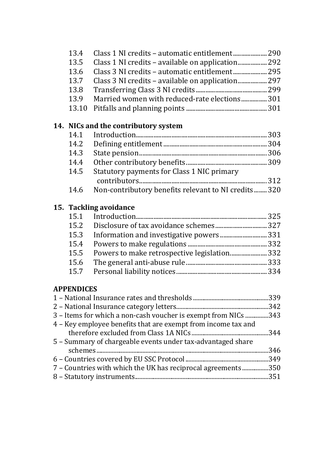| 13.4              | Class 1 NI credits - automatic entitlement 290                 |  |
|-------------------|----------------------------------------------------------------|--|
| 13.5              | Class 1 NI credits - available on application 292              |  |
| 13.6              | Class 3 NI credits - automatic entitlement 295                 |  |
| 13.7              | Class 3 NI credits - available on application 297              |  |
| 13.8              |                                                                |  |
| 13.9              | Married women with reduced-rate elections 301                  |  |
| 13.10             |                                                                |  |
|                   | 14. NICs and the contributory system                           |  |
| 14.1              |                                                                |  |
| 14.2              |                                                                |  |
| 14.3              |                                                                |  |
| 14.4              |                                                                |  |
| 14.5              | Statutory payments for Class 1 NIC primary                     |  |
|                   |                                                                |  |
| 14.6              | Non-contributory benefits relevant to NI credits320            |  |
|                   | 15. Tackling avoidance                                         |  |
| 15.1              |                                                                |  |
| 15.2              |                                                                |  |
| 15.3              |                                                                |  |
| 15.4              |                                                                |  |
| 15.5              | Powers to make retrospective legislation 332                   |  |
| 15.6              |                                                                |  |
| 15.7              |                                                                |  |
|                   |                                                                |  |
| <b>APPENDICES</b> |                                                                |  |
|                   |                                                                |  |
|                   |                                                                |  |
|                   | 3 - Items for which a non-cash voucher is exempt from NICs 343 |  |
|                   | 4 - Key employee benefits that are exempt from income tax and  |  |
|                   |                                                                |  |
|                   | 5 - Summary of chargeable events under tax-advantaged share    |  |
|                   |                                                                |  |
|                   |                                                                |  |
|                   | 7 - Countries with which the UK has reciprocal agreements 350  |  |

8 – Statutory instruments.......................................................................................351